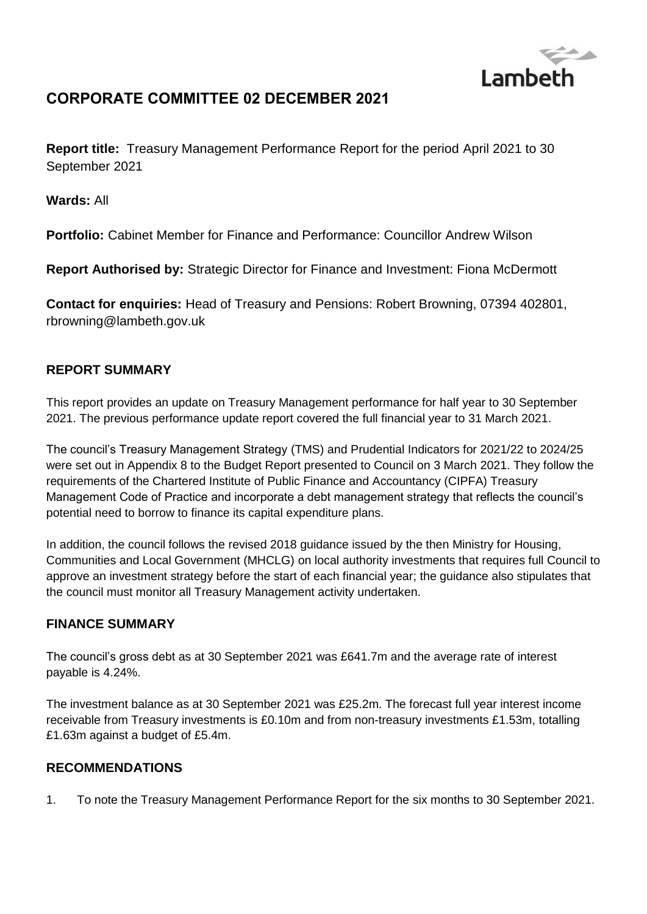

# **CORPORATE COMMITTEE 02 DECEMBER 2021**

**Report title:** Treasury Management Performance Report for the period April 2021 to 30 September 2021

**Wards:** All

**Portfolio:** Cabinet Member for Finance and Performance: Councillor Andrew Wilson

**Report Authorised by:** Strategic Director for Finance and Investment: Fiona McDermott

**Contact for enquiries:** Head of Treasury and Pensions: Robert Browning, 07394 402801, rbrowning@lambeth.gov.uk

### **REPORT SUMMARY**

This report provides an update on Treasury Management performance for half year to 30 September 2021. The previous performance update report covered the full financial year to 31 March 2021.

The council's Treasury Management Strategy (TMS) and Prudential Indicators for 2021/22 to 2024/25 were set out in Appendix 8 to the Budget Report presented to Council on 3 March 2021. They follow the requirements of the Chartered Institute of Public Finance and Accountancy (CIPFA) Treasury Management Code of Practice and incorporate a debt management strategy that reflects the council's potential need to borrow to finance its capital expenditure plans.

In addition, the council follows the revised 2018 guidance issued by the then Ministry for Housing, Communities and Local Government (MHCLG) on local authority investments that requires full Council to approve an investment strategy before the start of each financial year; the guidance also stipulates that the council must monitor all Treasury Management activity undertaken.

### **FINANCE SUMMARY**

The council's gross debt as at 30 September 2021 was £641.7m and the average rate of interest payable is 4.24%.

The investment balance as at 30 September 2021 was £25.2m. The forecast full year interest income receivable from Treasury investments is £0.10m and from non-treasury investments £1.53m, totalling £1.63m against a budget of £5.4m.

### **RECOMMENDATIONS**

1. To note the Treasury Management Performance Report for the six months to 30 September 2021.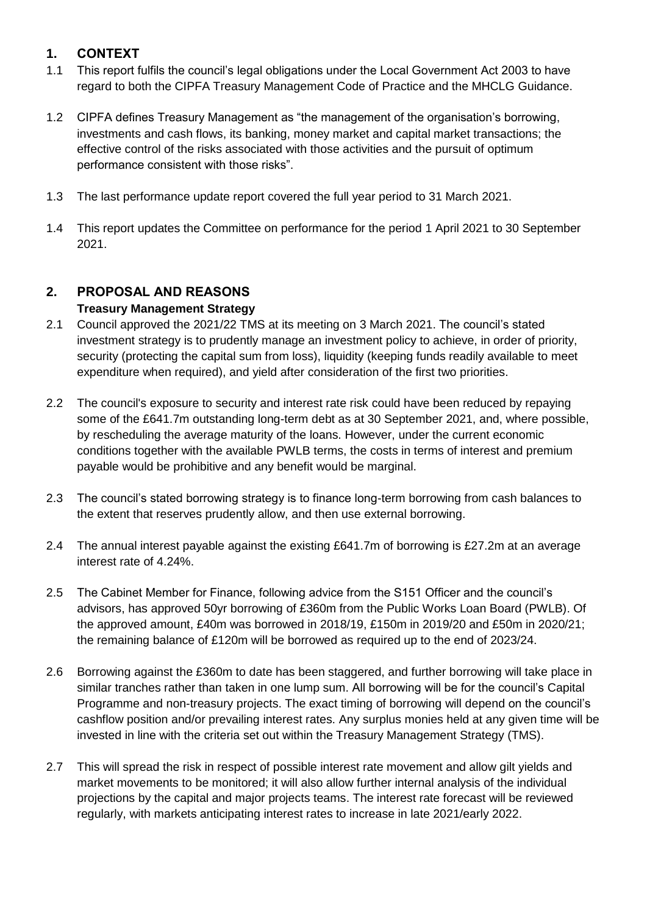## **1. CONTEXT**

- 1.1 This report fulfils the council's legal obligations under the Local Government Act 2003 to have regard to both the CIPFA Treasury Management Code of Practice and the MHCLG Guidance.
- 1.2 CIPFA defines Treasury Management as "the management of the organisation's borrowing, investments and cash flows, its banking, money market and capital market transactions; the effective control of the risks associated with those activities and the pursuit of optimum performance consistent with those risks".
- 1.3 The last performance update report covered the full year period to 31 March 2021.
- 1.4 This report updates the Committee on performance for the period 1 April 2021 to 30 September 2021.

### **2. PROPOSAL AND REASONS Treasury Management Strategy**

- 2.1 Council approved the 2021/22 TMS at its meeting on 3 March 2021. The council's stated investment strategy is to prudently manage an investment policy to achieve, in order of priority, security (protecting the capital sum from loss), liquidity (keeping funds readily available to meet expenditure when required), and yield after consideration of the first two priorities.
- 2.2 The council's exposure to security and interest rate risk could have been reduced by repaying some of the £641.7m outstanding long-term debt as at 30 September 2021, and, where possible, by rescheduling the average maturity of the loans. However, under the current economic conditions together with the available PWLB terms, the costs in terms of interest and premium payable would be prohibitive and any benefit would be marginal.
- 2.3 The council's stated borrowing strategy is to finance long-term borrowing from cash balances to the extent that reserves prudently allow, and then use external borrowing.
- 2.4 The annual interest payable against the existing £641.7m of borrowing is £27.2m at an average interest rate of 4.24%.
- 2.5 The Cabinet Member for Finance, following advice from the S151 Officer and the council's advisors, has approved 50yr borrowing of £360m from the Public Works Loan Board (PWLB). Of the approved amount, £40m was borrowed in 2018/19, £150m in 2019/20 and £50m in 2020/21; the remaining balance of £120m will be borrowed as required up to the end of 2023/24.
- 2.6 Borrowing against the £360m to date has been staggered, and further borrowing will take place in similar tranches rather than taken in one lump sum. All borrowing will be for the council's Capital Programme and non-treasury projects. The exact timing of borrowing will depend on the council's cashflow position and/or prevailing interest rates. Any surplus monies held at any given time will be invested in line with the criteria set out within the Treasury Management Strategy (TMS).
- 2.7 This will spread the risk in respect of possible interest rate movement and allow gilt yields and market movements to be monitored; it will also allow further internal analysis of the individual projections by the capital and major projects teams. The interest rate forecast will be reviewed regularly, with markets anticipating interest rates to increase in late 2021/early 2022.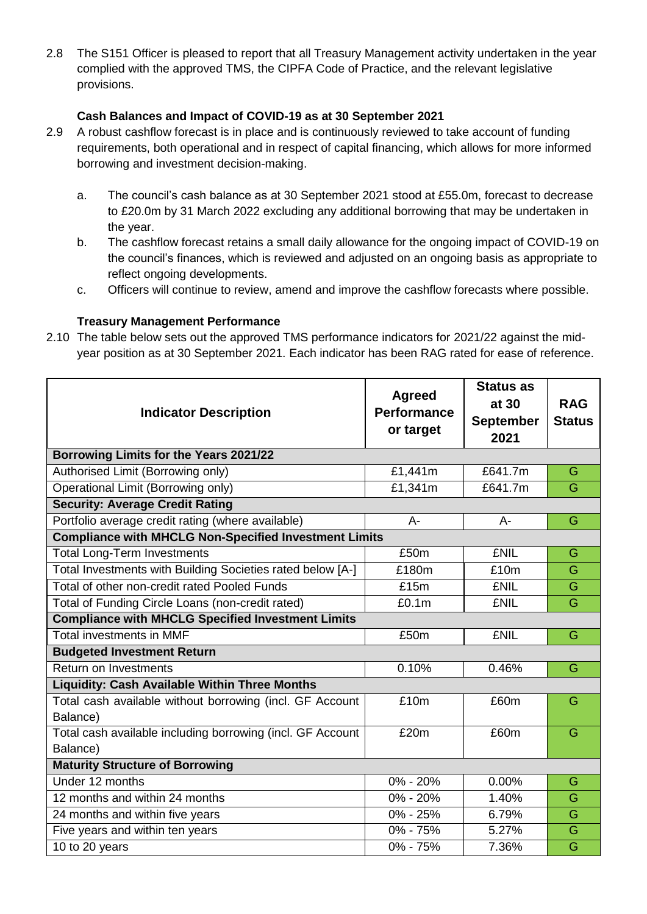2.8 The S151 Officer is pleased to report that all Treasury Management activity undertaken in the year complied with the approved TMS, the CIPFA Code of Practice, and the relevant legislative provisions.

#### **Cash Balances and Impact of COVID-19 as at 30 September 2021**

- 2.9 A robust cashflow forecast is in place and is continuously reviewed to take account of funding requirements, both operational and in respect of capital financing, which allows for more informed borrowing and investment decision-making.
	- a. The council's cash balance as at 30 September 2021 stood at £55.0m, forecast to decrease to £20.0m by 31 March 2022 excluding any additional borrowing that may be undertaken in the year.
	- b. The cashflow forecast retains a small daily allowance for the ongoing impact of COVID-19 on the council's finances, which is reviewed and adjusted on an ongoing basis as appropriate to reflect ongoing developments.
	- c. Officers will continue to review, amend and improve the cashflow forecasts where possible.

#### **Treasury Management Performance**

2.10 The table below sets out the approved TMS performance indicators for 2021/22 against the midyear position as at 30 September 2021. Each indicator has been RAG rated for ease of reference.

| <b>Indicator Description</b>                                        | <b>Agreed</b><br><b>Performance</b><br>or target | <b>Status as</b><br>at 30<br><b>September</b><br>2021 | <b>RAG</b><br><b>Status</b> |
|---------------------------------------------------------------------|--------------------------------------------------|-------------------------------------------------------|-----------------------------|
| Borrowing Limits for the Years 2021/22                              |                                                  |                                                       |                             |
| Authorised Limit (Borrowing only)                                   | £1,441m                                          | £641.7m                                               | G                           |
| Operational Limit (Borrowing only)                                  | $\overline{E}$ 1,341m                            | £641.7m                                               | G                           |
| <b>Security: Average Credit Rating</b>                              |                                                  |                                                       |                             |
| Portfolio average credit rating (where available)                   | $A -$                                            | A-                                                    | G                           |
| <b>Compliance with MHCLG Non-Specified Investment Limits</b>        |                                                  |                                                       |                             |
| <b>Total Long-Term Investments</b>                                  | £50m                                             | <b>£NIL</b>                                           | G                           |
| Total Investments with Building Societies rated below [A-]<br>£180m |                                                  | £10m                                                  | G                           |
| Total of other non-credit rated Pooled Funds                        | £15m                                             | <b>£NIL</b>                                           | G                           |
| Total of Funding Circle Loans (non-credit rated)                    | £0.1m                                            | <b>£NIL</b>                                           | G                           |
| <b>Compliance with MHCLG Specified Investment Limits</b>            |                                                  |                                                       |                             |
| <b>Total investments in MMF</b>                                     | £50m                                             | <b>£NIL</b>                                           | G                           |
| <b>Budgeted Investment Return</b>                                   |                                                  |                                                       |                             |
| Return on Investments                                               | 0.10%                                            | 0.46%                                                 | G                           |
| <b>Liquidity: Cash Available Within Three Months</b>                |                                                  |                                                       |                             |
| Total cash available without borrowing (incl. GF Account            | £10m                                             | £60m                                                  | G                           |
| Balance)                                                            |                                                  |                                                       |                             |
| Total cash available including borrowing (incl. GF Account          | £20m                                             | £60m                                                  | G                           |
| Balance)                                                            |                                                  |                                                       |                             |
| <b>Maturity Structure of Borrowing</b>                              |                                                  |                                                       |                             |
| Under 12 months                                                     | 0% - 20%                                         | 0.00%                                                 | G                           |
| 12 months and within 24 months                                      | 0% - 20%                                         | 1.40%                                                 | G                           |
| 24 months and within five years                                     | $0\% - 25\%$                                     | 6.79%                                                 | G                           |
| Five years and within ten years                                     | 0% - 75%                                         | 5.27%                                                 | G                           |
| 10 to 20 years                                                      | 0% - 75%                                         | 7.36%                                                 | G                           |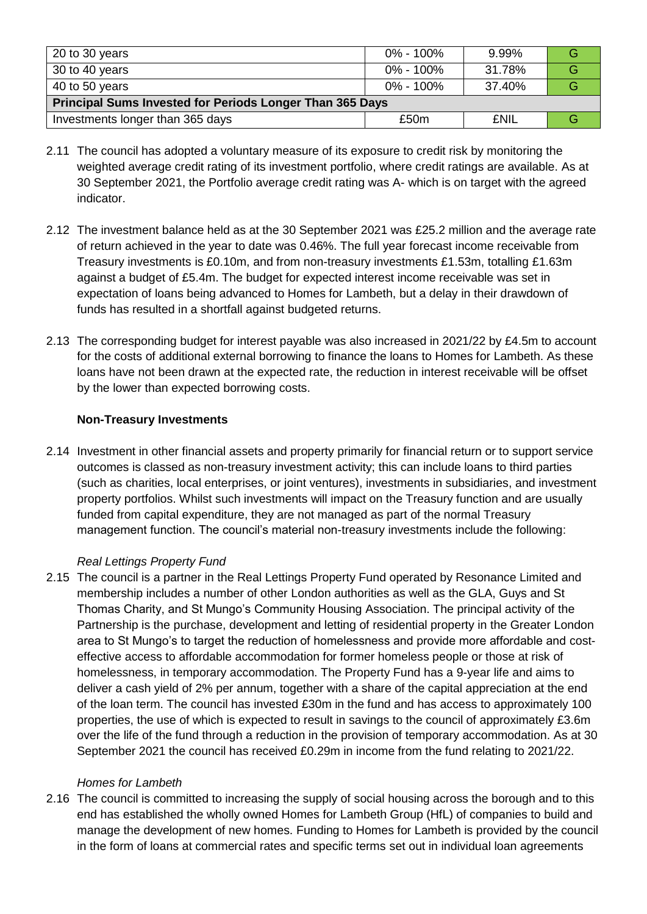| 20 to 30 years                                                  | 0% - 100%     | 9.99%       |  |  |
|-----------------------------------------------------------------|---------------|-------------|--|--|
| 30 to 40 years                                                  | $0\% - 100\%$ | 31.78%      |  |  |
| 40 to 50 years                                                  | 0% - 100%     | 37.40%      |  |  |
| <b>Principal Sums Invested for Periods Longer Than 365 Days</b> |               |             |  |  |
| Investments longer than 365 days                                | £50m          | <b>£NIL</b> |  |  |

- 2.11 The council has adopted a voluntary measure of its exposure to credit risk by monitoring the weighted average credit rating of its investment portfolio, where credit ratings are available. As at 30 September 2021, the Portfolio average credit rating was A- which is on target with the agreed indicator.
- 2.12 The investment balance held as at the 30 September 2021 was £25.2 million and the average rate of return achieved in the year to date was 0.46%. The full year forecast income receivable from Treasury investments is £0.10m, and from non-treasury investments £1.53m, totalling £1.63m against a budget of £5.4m. The budget for expected interest income receivable was set in expectation of loans being advanced to Homes for Lambeth, but a delay in their drawdown of funds has resulted in a shortfall against budgeted returns.
- 2.13 The corresponding budget for interest payable was also increased in 2021/22 by £4.5m to account for the costs of additional external borrowing to finance the loans to Homes for Lambeth. As these loans have not been drawn at the expected rate, the reduction in interest receivable will be offset by the lower than expected borrowing costs.

#### **Non-Treasury Investments**

2.14 Investment in other financial assets and property primarily for financial return or to support service outcomes is classed as non-treasury investment activity; this can include loans to third parties (such as charities, local enterprises, or joint ventures), investments in subsidiaries, and investment property portfolios. Whilst such investments will impact on the Treasury function and are usually funded from capital expenditure, they are not managed as part of the normal Treasury management function. The council's material non-treasury investments include the following:

#### *Real Lettings Property Fund*

2.15 The council is a partner in the Real Lettings Property Fund operated by Resonance Limited and membership includes a number of other London authorities as well as the GLA, Guys and St Thomas Charity, and St Mungo's Community Housing Association. The principal activity of the Partnership is the purchase, development and letting of residential property in the Greater London area to St Mungo's to target the reduction of homelessness and provide more affordable and costeffective access to affordable accommodation for former homeless people or those at risk of homelessness, in temporary accommodation. The Property Fund has a 9-year life and aims to deliver a cash yield of 2% per annum, together with a share of the capital appreciation at the end of the loan term. The council has invested £30m in the fund and has access to approximately 100 properties, the use of which is expected to result in savings to the council of approximately £3.6m over the life of the fund through a reduction in the provision of temporary accommodation. As at 30 September 2021 the council has received £0.29m in income from the fund relating to 2021/22.

#### *Homes for Lambeth*

2.16 The council is committed to increasing the supply of social housing across the borough and to this end has established the wholly owned Homes for Lambeth Group (HfL) of companies to build and manage the development of new homes. Funding to Homes for Lambeth is provided by the council in the form of loans at commercial rates and specific terms set out in individual loan agreements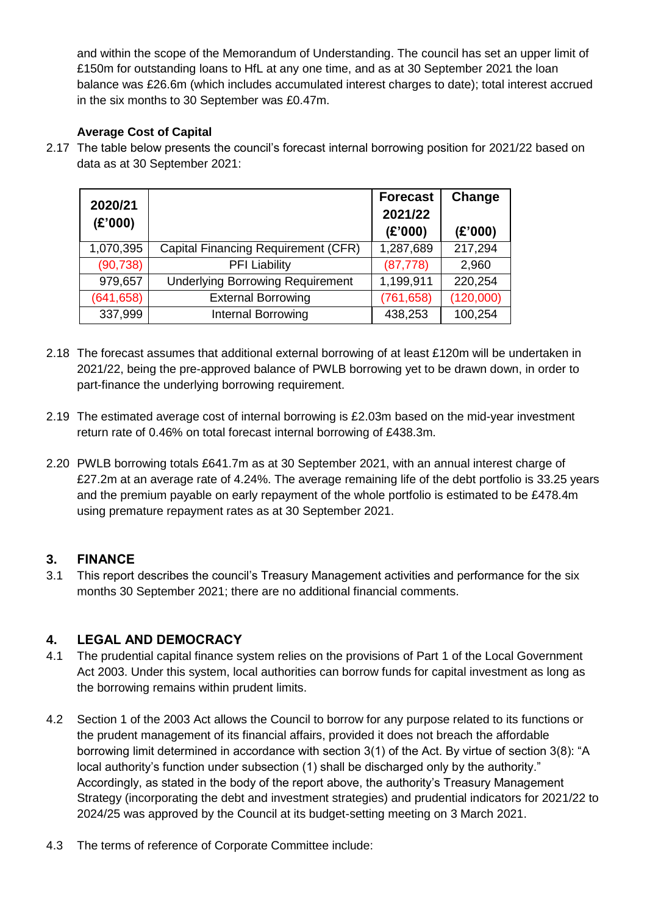and within the scope of the Memorandum of Understanding. The council has set an upper limit of £150m for outstanding loans to HfL at any one time, and as at 30 September 2021 the loan balance was £26.6m (which includes accumulated interest charges to date); total interest accrued in the six months to 30 September was £0.47m.

### **Average Cost of Capital**

2.17 The table below presents the council's forecast internal borrowing position for 2021/22 based on data as at 30 September 2021:

| 2020/21    |                                         | <b>Forecast</b> | Change    |
|------------|-----------------------------------------|-----------------|-----------|
| (E'000)    |                                         | 2021/22         |           |
|            |                                         | (E'000)         | (E'000)   |
| 1,070,395  | Capital Financing Requirement (CFR)     | 1,287,689       | 217,294   |
| (90, 738)  | <b>PFI Liability</b>                    | (87, 778)       | 2,960     |
| 979,657    | <b>Underlying Borrowing Requirement</b> | 1,199,911       | 220,254   |
| (641, 658) | <b>External Borrowing</b>               | (761, 658)      | (120,000) |
| 337,999    | Internal Borrowing                      | 438,253         | 100,254   |

- 2.18 The forecast assumes that additional external borrowing of at least £120m will be undertaken in 2021/22, being the pre-approved balance of PWLB borrowing yet to be drawn down, in order to part-finance the underlying borrowing requirement.
- 2.19 The estimated average cost of internal borrowing is £2.03m based on the mid-year investment return rate of 0.46% on total forecast internal borrowing of £438.3m.
- 2.20 PWLB borrowing totals £641.7m as at 30 September 2021, with an annual interest charge of £27.2m at an average rate of 4.24%. The average remaining life of the debt portfolio is 33.25 years and the premium payable on early repayment of the whole portfolio is estimated to be £478.4m using premature repayment rates as at 30 September 2021.

### **3. FINANCE**

3.1 This report describes the council's Treasury Management activities and performance for the six months 30 September 2021; there are no additional financial comments.

### **4. LEGAL AND DEMOCRACY**

- 4.1 The prudential capital finance system relies on the provisions of Part 1 of the Local Government Act 2003. Under this system, local authorities can borrow funds for capital investment as long as the borrowing remains within prudent limits.
- 4.2 Section 1 of the 2003 Act allows the Council to borrow for any purpose related to its functions or the prudent management of its financial affairs, provided it does not breach the affordable borrowing limit determined in accordance with section 3(1) of the Act. By virtue of section 3(8): "A local authority's function under subsection (1) shall be discharged only by the authority." Accordingly, as stated in the body of the report above, the authority's Treasury Management Strategy (incorporating the debt and investment strategies) and prudential indicators for 2021/22 to 2024/25 was approved by the Council at its budget-setting meeting on 3 March 2021.
- 4.3 The terms of reference of Corporate Committee include: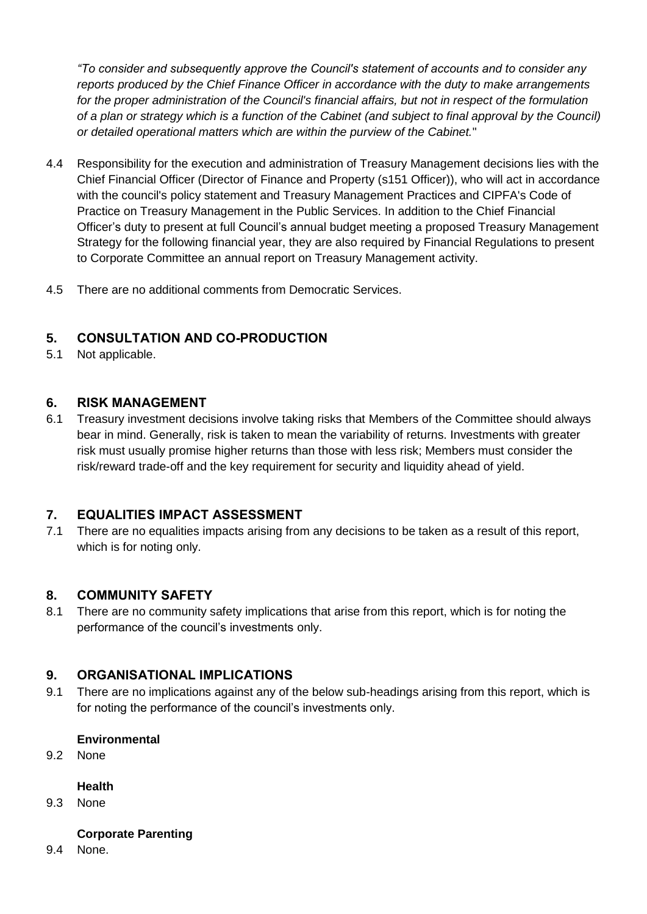*"To consider and subsequently approve the Council's statement of accounts and to consider any reports produced by the Chief Finance Officer in accordance with the duty to make arrangements for the proper administration of the Council's financial affairs, but not in respect of the formulation of a plan or strategy which is a function of the Cabinet (and subject to final approval by the Council) or detailed operational matters which are within the purview of the Cabinet.*"

- 4.4 Responsibility for the execution and administration of Treasury Management decisions lies with the Chief Financial Officer (Director of Finance and Property (s151 Officer)), who will act in accordance with the council's policy statement and Treasury Management Practices and CIPFA's Code of Practice on Treasury Management in the Public Services. In addition to the Chief Financial Officer's duty to present at full Council's annual budget meeting a proposed Treasury Management Strategy for the following financial year, they are also required by Financial Regulations to present to Corporate Committee an annual report on Treasury Management activity.
- 4.5 There are no additional comments from Democratic Services.

## **5. CONSULTATION AND CO-PRODUCTION**

5.1 Not applicable.

#### **6. RISK MANAGEMENT**

6.1 Treasury investment decisions involve taking risks that Members of the Committee should always bear in mind. Generally, risk is taken to mean the variability of returns. Investments with greater risk must usually promise higher returns than those with less risk; Members must consider the risk/reward trade-off and the key requirement for security and liquidity ahead of yield.

### **7. EQUALITIES IMPACT ASSESSMENT**

7.1 There are no equalities impacts arising from any decisions to be taken as a result of this report, which is for noting only.

#### **8. COMMUNITY SAFETY**

8.1 There are no community safety implications that arise from this report, which is for noting the performance of the council's investments only.

### **9. ORGANISATIONAL IMPLICATIONS**

9.1 There are no implications against any of the below sub-headings arising from this report, which is for noting the performance of the council's investments only.

#### **Environmental**

9.2 None

#### **Health**

9.3 None

#### **Corporate Parenting**

9.4 None.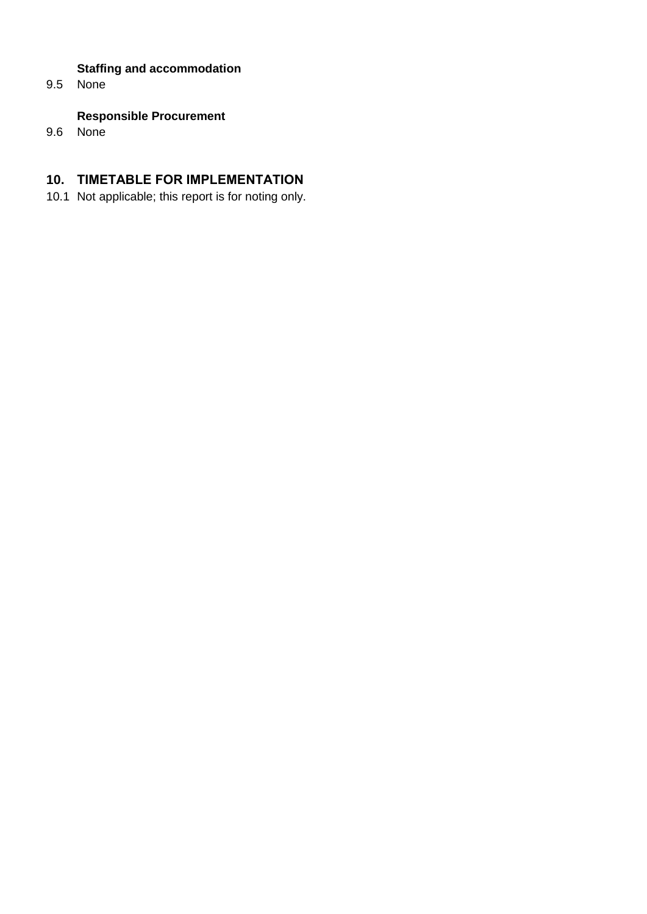### **Staffing and accommodation**

9.5 None

### **Responsible Procurement**

9.6 None

## **10. TIMETABLE FOR IMPLEMENTATION**

10.1 Not applicable; this report is for noting only.